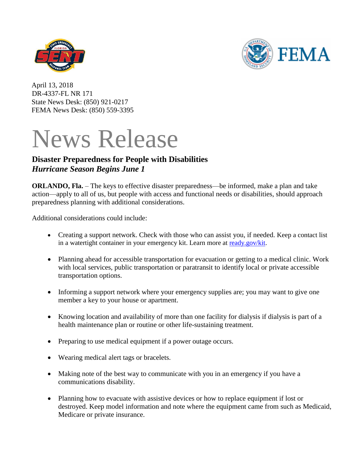



April 13, 2018 DR-4337-FL NR 171 State News Desk: (850) 921-0217 FEMA News Desk: (850) 559-3395

# News Release

# **Disaster Preparedness for People with Disabilities** *Hurricane Season Begins June 1*

**ORLANDO, Fla.** – The keys to effective disaster preparedness—be informed, make a plan and take action—apply to all of us, but people with access and functional needs or disabilities, should approach preparedness planning with additional considerations.

Additional considerations could include:

- Creating a support network. Check with those who can assist you, if needed. Keep a contact list in a watertight container in your emergency kit. Learn more at [ready.gov/kit.](http://ready.gov/kit)
- Planning ahead for accessible transportation for evacuation or getting to a medical clinic. Work with local services, public transportation or paratransit to identify local or private accessible transportation options.
- Informing a support network where your emergency supplies are; you may want to give one member a key to your house or apartment.
- Knowing location and availability of more than one facility for dialysis if dialysis is part of a health maintenance plan or routine or other life-sustaining treatment.
- Preparing to use medical equipment if a power outage occurs.
- Wearing medical alert tags or bracelets.
- Making note of the best way to communicate with you in an emergency if you have a communications disability.
- Planning how to evacuate with assistive devices or how to replace equipment if lost or destroyed. Keep model information and note where the equipment came from such as Medicaid, Medicare or private insurance.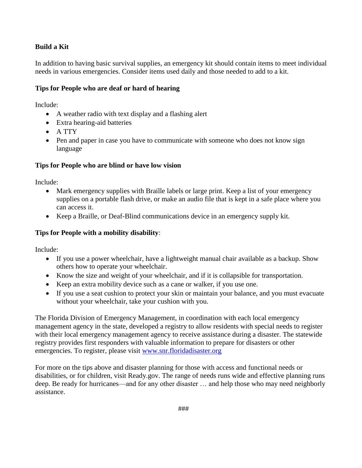## **Build a Kit**

In addition to having basic survival supplies, an [emergency kit](http://www.ready.gov/kit) should contain items to meet individual needs in various emergencies. Consider items used daily and those needed to add to a kit.

#### **Tips for People who are deaf or hard of hearing**

Include:

- A weather radio with text display and a flashing alert
- Extra hearing-aid batteries
- A TTY
- Pen and paper in case you have to communicate with someone who does not know sign language

#### **Tips for People who are blind or have low vision**

Include:

- Mark emergency supplies with Braille labels or large print. Keep a list of your emergency supplies on a portable flash drive, or make an audio file that is kept in a safe place where you can access it.
- Keep a Braille, or Deaf-Blind communications device in an emergency supply kit.

### **Tips for People with a mobility disability**:

Include:

- If you use a power wheelchair, have a lightweight manual chair available as a backup. Show others how to operate your wheelchair.
- Know the size and weight of your wheelchair, and if it is collapsible for transportation.
- Keep an extra mobility device such as a cane or walker, if you use one.
- If you use a seat cushion to protect your skin or maintain your balance, and you must evacuate without your wheelchair, take your cushion with you.

The Florida Division of Emergency Management, in coordination with each local emergency management agency in the state, developed a registry to allow residents with special needs to register with their local emergency management agency to receive assistance during a disaster. The statewide registry provides first responders with valuable information to prepare for disasters or other emergencies. To register, please visit [www.snr.floridadisaster.org](http://www.snr.floridadisaster.org/)

For more on the tips above and disaster planning for those with access and functional needs or disabilities, or for children, visit Ready.gov. The range of needs runs wide and effective planning runs deep. Be ready for hurricanes—and for any other disaster … and help those who may need neighborly assistance.